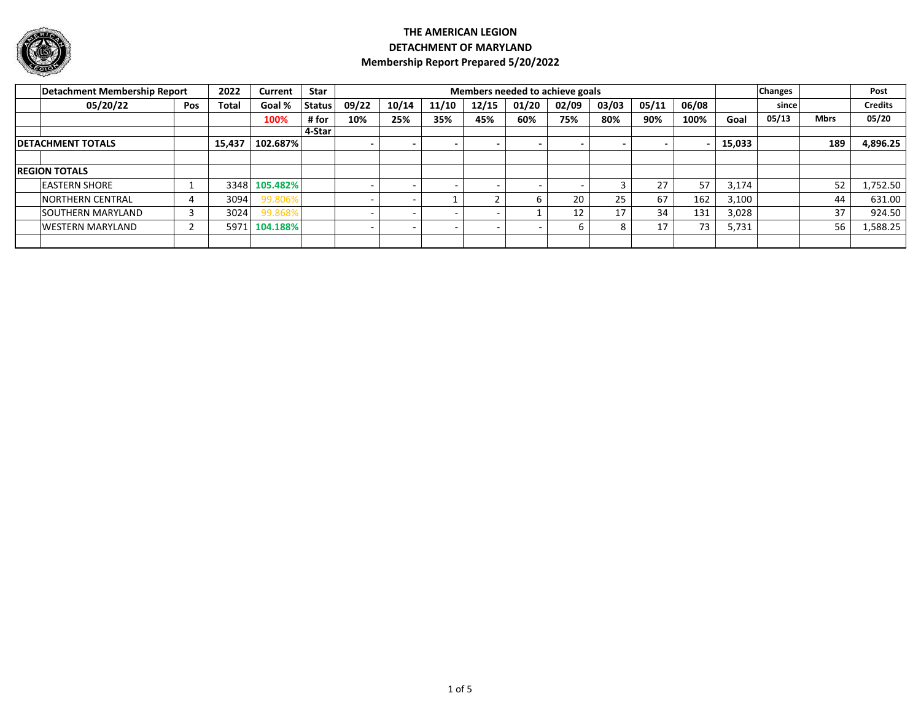

|                           | Detachment Membership Report |     | 2022   | Current  | <b>Star</b>   |       |       |       |       | Members needed to achieve goals |       |       |       |       |        | <b>Changes</b> |             | Post           |
|---------------------------|------------------------------|-----|--------|----------|---------------|-------|-------|-------|-------|---------------------------------|-------|-------|-------|-------|--------|----------------|-------------|----------------|
|                           | 05/20/22                     | Pos | Total  | Goal %   | <b>Status</b> | 09/22 | 10/14 | 11/10 | 12/15 | 01/20                           | 02/09 | 03/03 | 05/11 | 06/08 |        | since l        |             | <b>Credits</b> |
|                           |                              |     |        | 100%     | # for         | 10%   | 25%   | 35%   | 45%   | 60%                             | 75%   | 80%   | 90%   | 100%  | Goal   | 05/13          | <b>Mbrs</b> | 05/20          |
|                           |                              |     |        |          | 4-Star        |       |       |       |       |                                 |       |       |       |       |        |                |             |                |
| <b>IDETACHMENT TOTALS</b> |                              |     | 15,437 | 102.687% |               |       |       |       |       |                                 |       |       |       |       | 15,033 |                | 189         | 4,896.25       |
|                           |                              |     |        |          |               |       |       |       |       |                                 |       |       |       |       |        |                |             |                |
|                           | <b>REGION TOTALS</b>         |     |        |          |               |       |       |       |       |                                 |       |       |       |       |        |                |             |                |
|                           | <b>LEASTERN SHORE</b>        |     | 33481  | 105.482% |               |       |       |       |       |                                 |       |       | 27    | 57    | 3,174  |                | 52          | 1,752.50       |
|                           | <b>INORTHERN CENTRAL</b>     |     | 3094   | 99.806%  |               |       |       |       |       |                                 | 20    | 25    | 67    | 162   | 3,100  |                | 44          | 631.00         |
|                           | <b>SOUTHERN MARYLAND</b>     |     | 3024   | 99.868%  |               |       |       |       |       |                                 | 12    | 17    | 34    | 131   | 3,028  |                | 37          | 924.50         |
|                           | <b>WESTERN MARYLAND</b>      |     | 5971   | 104.188% |               |       |       |       |       |                                 |       |       | 17    | 73    | 5,731  |                | 56          | 1,588.25       |
|                           |                              |     |        |          |               |       |       |       |       |                                 |       |       |       |       |        |                |             |                |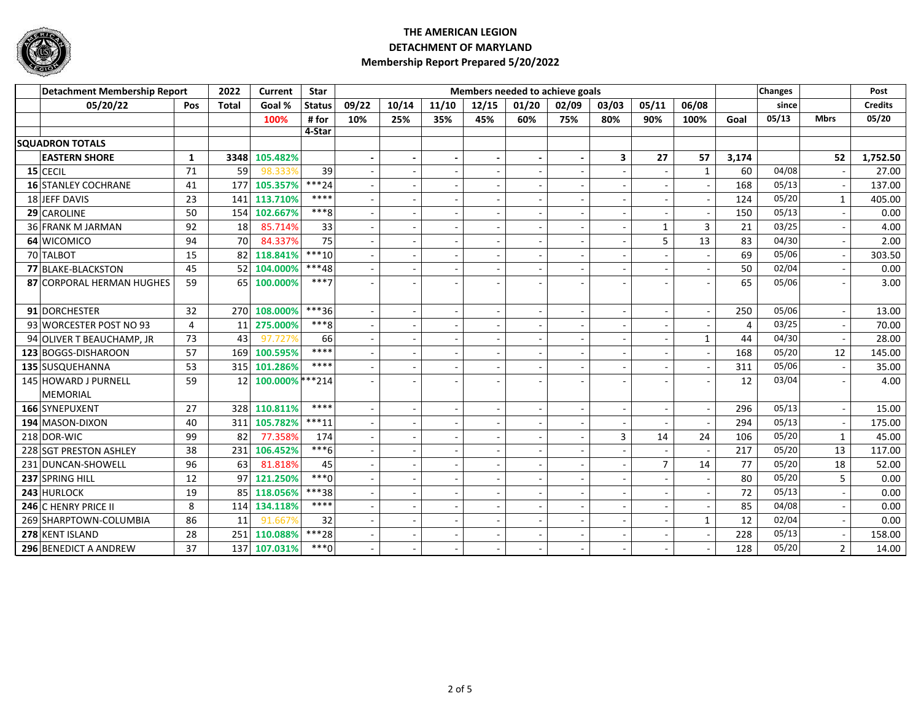

| <b>Detachment Membership Report</b> |                             |                | 2022         | Current          | <b>Star</b>   |       |       |       | Members needed to achieve goals |       |                          |       |                |              |       | <b>Changes</b> |                | Post           |
|-------------------------------------|-----------------------------|----------------|--------------|------------------|---------------|-------|-------|-------|---------------------------------|-------|--------------------------|-------|----------------|--------------|-------|----------------|----------------|----------------|
|                                     | 05/20/22                    | Pos            | <b>Total</b> | Goal %           | <b>Status</b> | 09/22 | 10/14 | 11/10 | 12/15                           | 01/20 | 02/09                    | 03/03 | 05/11          | 06/08        |       | since          |                | <b>Credits</b> |
|                                     |                             |                |              | 100%             | # for         | 10%   | 25%   | 35%   | 45%                             | 60%   | 75%                      | 80%   | 90%            | 100%         | Goal  | 05/13          | <b>Mbrs</b>    | 05/20          |
|                                     |                             |                |              |                  | 4-Star        |       |       |       |                                 |       |                          |       |                |              |       |                |                |                |
|                                     | <b>SQUADRON TOTALS</b>      |                |              |                  |               |       |       |       |                                 |       |                          |       |                |              |       |                |                |                |
|                                     | <b>EASTERN SHORE</b>        | $\mathbf{1}$   | 3348         | 105.482%         |               |       |       |       |                                 |       | $\overline{\phantom{a}}$ | 3     | 27             | 57           | 3,174 |                | 52             | 1.752.50       |
|                                     | $15$ CECIL                  | 71             | 59           | 98.333%          | 39            |       |       |       |                                 |       |                          |       |                | $\mathbf{1}$ | 60    | 04/08          |                | 27.00          |
|                                     | <b>16 STANLEY COCHRANE</b>  | 41             | 177          | 105.357%         | $***24$       |       |       |       |                                 |       | $\overline{\phantom{a}}$ |       |                |              | 168   | 05/13          |                | 137.00         |
|                                     | 18 JEFF DAVIS               | 23             | 141          | 113.710%         | ****          |       |       |       |                                 |       |                          |       |                |              | 124   | 05/20          | 1              | 405.00         |
|                                     | 29 CAROLINE                 | 50             | 154          | 102.667%         | $***8$        |       |       |       |                                 |       |                          |       |                |              | 150   | 05/13          |                | 0.00           |
|                                     | 36 FRANK M JARMAN           | 92             | 18           | 85.714%          | 33            |       |       |       |                                 |       | $\sim$                   |       | $\mathbf{1}$   | 3            | 21    | 03/25          |                | 4.00           |
|                                     | 64 WICOMICO                 | 94             | 70           | 84.337%          | 75            |       |       |       |                                 |       |                          |       | 5              | 13           | 83    | 04/30          |                | 2.00           |
|                                     | 70 TALBOT                   | 15             | 82           | 118.841%         | $***10$       |       |       |       |                                 |       | $\overline{\phantom{a}}$ |       |                |              | 69    | 05/06          |                | 303.50         |
|                                     | 77 BLAKE-BLACKSTON          | 45             | 52           | 104.000%         | ***48         |       |       |       |                                 |       |                          |       |                |              | 50    | 02/04          |                | 0.00           |
|                                     | 87 CORPORAL HERMAN HUGHES   | 59             |              | 65 100.000%      | $***7$        |       |       |       |                                 |       |                          |       |                |              | 65    | 05/06          |                | 3.00           |
|                                     | 91 DORCHESTER               | 32             | 270          | 108.000%         | ***36         |       |       |       |                                 |       |                          |       |                |              | 250   | 05/06          |                | 13.00          |
|                                     | 93 WORCESTER POST NO 93     | $\overline{4}$ | 11           | 275.000%         | $***8$        |       |       |       |                                 |       | $\overline{\phantom{a}}$ |       |                |              | 4     | 03/25          |                | 70.00          |
|                                     | 94 OLIVER T BEAUCHAMP, JR   | 73             | 43           | 97.727%          | 66            |       |       |       |                                 |       | ÷.                       |       |                | 1            | 44    | 04/30          |                | 28.00          |
|                                     | 123 BOGGS-DISHAROON         | 57             | 169          | 100.595%         | ****          |       |       |       |                                 |       |                          |       |                |              | 168   | 05/20          | 12             | 145.00         |
|                                     | 135 SUSQUEHANNA             | 53             |              | 315 101.286%     | ****          |       |       |       |                                 |       |                          |       |                |              | 311   | 05/06          |                | 35.00          |
|                                     | 145 HOWARD J PURNELL        | 59             | 12           | 100.000% *** 214 |               |       |       |       |                                 |       |                          |       |                |              | 12    | 03/04          |                | 4.00           |
|                                     | <b>MEMORIAL</b>             |                |              |                  |               |       |       |       |                                 |       |                          |       |                |              |       |                |                |                |
|                                     | 166 SYNEPUXENT              | 27             |              | 328 110.811%     | ****          |       |       |       |                                 |       | ÷.                       |       |                |              | 296   | 05/13          |                | 15.00          |
|                                     | 194 MASON-DIXON             | 40             | 311          | 105.782%         | $***11$       |       |       |       |                                 |       |                          |       |                |              | 294   | 05/13          |                | 175.00         |
|                                     | 218 DOR-WIC                 | 99             | 82           | 77.358%          | 174           |       |       |       |                                 |       | $\sim$                   | 3     | 14             | 24           | 106   | 05/20          | $\mathbf{1}$   | 45.00          |
|                                     | 228 SGT PRESTON ASHLEY      | 38             | 231          | 106.452%         | $***6$        |       |       |       |                                 |       |                          |       |                |              | 217   | 05/20          | 13             | 117.00         |
|                                     | 231 DUNCAN-SHOWELL          | 96             | 63           | 81.818%          | 45            |       |       |       |                                 |       |                          |       | $\overline{7}$ | 14           | 77    | 05/20          | 18             | 52.00          |
|                                     | 237 SPRING HILL             | 12             | 97           | 121.250%         | $***0$        |       |       |       |                                 |       | $\sim$                   |       |                |              | 80    | 05/20          | 5              | 0.00           |
|                                     | 243 HURLOCK                 | 19             | 85           | 118.056%         | ***38         |       |       |       |                                 |       | $\overline{\phantom{a}}$ |       |                |              | 72    | 05/13          |                | 0.00           |
|                                     | <b>246 C HENRY PRICE II</b> | 8              |              | 114 134.118%     | ****          |       |       |       |                                 |       | $\sim$                   |       |                |              | 85    | 04/08          |                | 0.00           |
|                                     | 269 SHARPTOWN-COLUMBIA      | 86             | 11           | 91.667%          | 32            |       |       |       |                                 |       |                          |       |                | $\mathbf{1}$ | 12    | 02/04          |                | 0.00           |
|                                     | 278 KENT ISLAND             | 28             | 251          | 110.088%         | ***28         |       |       |       |                                 |       | $\overline{\phantom{a}}$ |       |                |              | 228   | 05/13          |                | 158.00         |
|                                     | 296 BENEDICT A ANDREW       | 37             |              | 137 107.031%     | $***0$        |       |       |       |                                 |       |                          |       |                |              | 128   | 05/20          | $\overline{2}$ | 14.00          |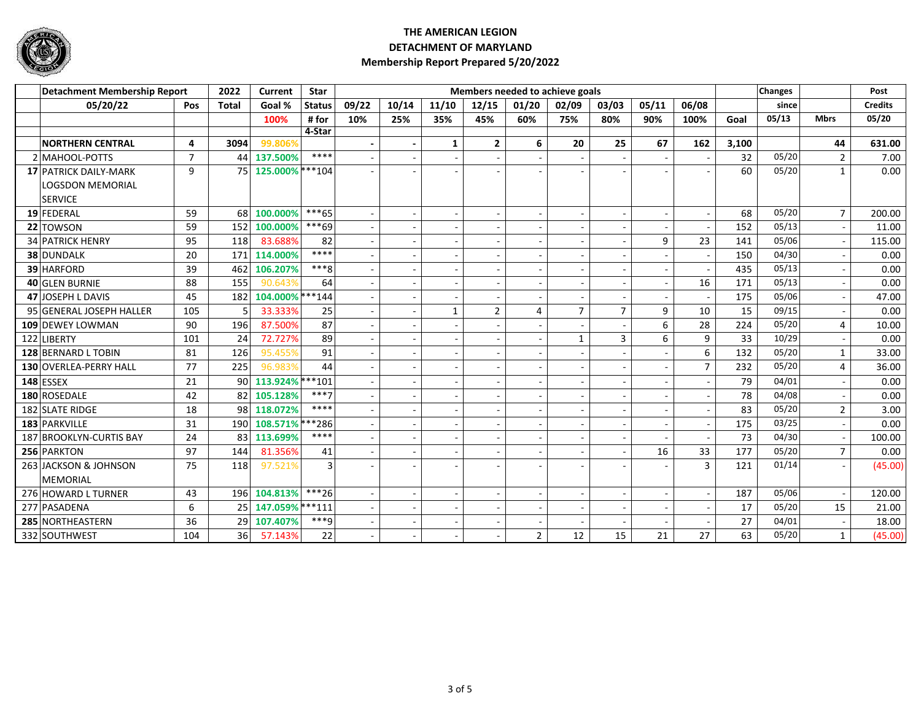

| <b>Detachment Membership Report</b> |                |                  | Current             | <b>Star</b>        |       |        |              | Members needed to achieve goals |                |                          |                |                          |                          |       | <b>Changes</b> |                | Post           |
|-------------------------------------|----------------|------------------|---------------------|--------------------|-------|--------|--------------|---------------------------------|----------------|--------------------------|----------------|--------------------------|--------------------------|-------|----------------|----------------|----------------|
| 05/20/22                            | <b>Pos</b>     | <b>Total</b>     | Goal %              | <b>Status</b>      | 09/22 | 10/14  | 11/10        | 12/15                           | 01/20          | 02/09                    | 03/03          | 05/11                    | 06/08                    |       | since          |                | <b>Credits</b> |
|                                     |                |                  | 100%                | #for               | 10%   | 25%    | 35%          | 45%                             | 60%            | 75%                      | 80%            | 90%                      | 100%                     | Goal  | 05/13          | <b>Mbrs</b>    | 05/20          |
|                                     |                |                  |                     | 4-Star             |       |        |              |                                 |                |                          |                |                          |                          |       |                |                |                |
| <b>NORTHERN CENTRAL</b>             | 4              | 3094             | 99.806%             |                    |       |        | $\mathbf{1}$ | $\mathbf{2}$                    | 6              | 20                       | 25             | 67                       | 162                      | 3,100 |                | 44             | 631.00         |
| 2 MAHOOL-POTTS                      | $\overline{7}$ | 44               | 137.500%            | ****               |       |        |              | $\overline{\phantom{a}}$        |                |                          |                |                          |                          | 32    | 05/20          | $\overline{2}$ | 7.00           |
| <b>17 PATRICK DAILY-MARK</b>        | 9              | 75               | 125.000% *** 104    |                    |       |        |              |                                 |                |                          |                |                          |                          | 60    | 05/20          | $\mathbf{1}$   | 0.00           |
| LOGSDON MEMORIAL                    |                |                  |                     |                    |       |        |              |                                 |                |                          |                |                          |                          |       |                |                |                |
| <b>SERVICE</b>                      |                |                  |                     |                    |       |        |              |                                 |                |                          |                |                          |                          |       |                |                |                |
| 19 FEDERAL                          | 59             |                  | 68 100.000%         | ***65              |       | $\sim$ |              | $\sim$                          |                | $\overline{a}$           |                |                          | $\overline{\phantom{a}}$ | 68    | 05/20          | $\overline{7}$ | 200.00         |
| 22 TOWSON                           | 59             | 152              | 100.000%            | ***69              |       |        |              |                                 |                |                          |                |                          |                          | 152   | 05/13          |                | 11.00          |
| <b>34 PATRICK HENRY</b>             | 95             | 118              | 83.688%             | 82                 |       |        |              | $\sim$                          |                |                          |                | 9                        | 23                       | 141   | 05/06          |                | 115.00         |
| 38 DUNDALK                          | 20             | 171              | 114.000%            | ****               |       |        |              | $\overline{a}$                  |                |                          |                |                          |                          | 150   | 04/30          |                | 0.00           |
| 39 HARFORD                          | 39             | 462              | 106.207%            | $***8$             |       |        |              | $\overline{a}$                  |                |                          |                |                          |                          | 435   | 05/13          |                | 0.00           |
| 40 GLEN BURNIE                      | 88             | 155              | 90.643%             | 64                 |       |        |              | $\sim$                          |                |                          |                |                          | 16                       | 171   | 05/13          |                | 0.00           |
| 47 JOSEPH L DAVIS                   | 45             | 182              | 104.000% *** 144    |                    |       |        |              | $\sim$                          |                |                          |                | $\overline{\phantom{a}}$ |                          | 175   | 05/06          | $\blacksquare$ | 47.00          |
| 95 GENERAL JOSEPH HALLER            | 105            |                  | 33.333%             | 25                 |       |        | $\mathbf{1}$ | $\overline{2}$                  | 4              | $\overline{7}$           | $\overline{7}$ | 9                        | 10                       | 15    | 09/15          |                | 0.00           |
| 109 DEWEY LOWMAN                    | 90             | 196              | 87.500%             | 87                 |       |        |              | $\sim$                          |                |                          |                | 6                        | 28                       | 224   | 05/20          | 4              | 10.00          |
| 122 LIBERTY                         | 101            | 24               | 72.727%             | 89                 |       |        |              | $\overline{a}$                  |                | $\mathbf{1}$             | 3              | 6                        | 9                        | 33    | 10/29          |                | 0.00           |
| 128 BERNARD L TOBIN                 | 81             | 126              | 95.455%             | 91                 |       |        |              | $\overline{\phantom{a}}$        |                |                          |                |                          | 6                        | 132   | 05/20          | $\mathbf{1}$   | 33.00          |
| 130 OVERLEA-PERRY HALL              | 77             | 225              | 96.983%             | 44                 |       |        |              |                                 |                |                          |                |                          | $\overline{7}$           | 232   | 05/20          | 4              | 36.00          |
| $148$ ESSEX                         | 21             | 90               | 113.924% *** 101    |                    |       |        |              | ÷,                              |                |                          |                |                          |                          | 79    | 04/01          |                | 0.00           |
| 180 ROSEDALE                        | 42             |                  | 82 105.128%         | $***7$             |       |        |              | $\overline{a}$                  |                |                          |                |                          |                          | 78    | 04/08          |                | 0.00           |
| 182 SLATE RIDGE                     | 18             | 98 <sub>1</sub>  | 118.072%            | ****               |       |        |              |                                 |                |                          |                |                          |                          | 83    | 05/20          | $\overline{2}$ | 3.00           |
| 183 PARKVILLE                       | 31             | 190 <sup>1</sup> | 108.571% *** 286    |                    |       |        |              | $\overline{\phantom{a}}$        |                |                          |                |                          |                          | 175   | 03/25          |                | 0.00           |
| 187 BROOKLYN-CURTIS BAY             | 24             | 83 <sup>1</sup>  | 113.699%            | ****               |       |        |              | $\sim$                          |                |                          |                |                          |                          | 73    | 04/30          |                | 100.00         |
| 256 PARKTON                         | 97             | 144              | 81.356%             | 41                 |       |        |              | $\sim$                          |                |                          |                | 16                       | 33                       | 177   | 05/20          | $\overline{7}$ | 0.00           |
| 263 JACKSON & JOHNSON               | 75             | 118              | 97.521%             | 3                  |       |        |              |                                 |                |                          |                |                          | $\overline{3}$           | 121   | 01/14          |                | (45.00)        |
| <b>MEMORIAL</b>                     |                |                  |                     |                    |       |        |              |                                 |                |                          |                |                          |                          |       |                |                |                |
| 276 HOWARD L TURNER                 | 43             | 196              | 104.813%            | $***26$            |       |        |              | $\overline{a}$                  |                |                          |                |                          |                          | 187   | 05/06          |                | 120.00         |
| 277 PASADENA                        | 6              |                  | 25 147.059% *** 111 |                    |       |        |              | $\sim$                          |                | $\overline{\phantom{a}}$ |                |                          |                          | 17    | 05/20          | 15             | 21.00          |
| 285 NORTHEASTERN                    | 36             | 29               | 107.407%            | $\overline{***}$ g |       |        |              | $\overline{\phantom{a}}$        |                |                          |                |                          |                          | 27    | 04/01          |                | 18.00          |
| 332 SOUTHWEST                       | 104            | 36               | 57.143%             | 22                 |       |        |              | $\sim$                          | $\overline{2}$ | 12                       | 15             | 21                       | 27                       | 63    | 05/20          | $\mathbf{1}$   | (45.00)        |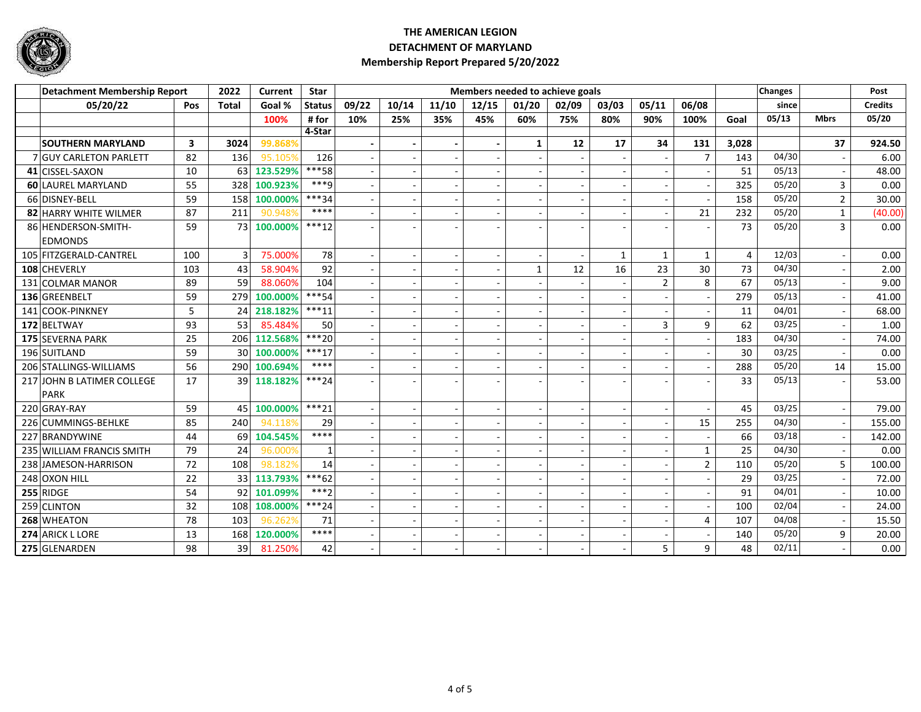

| Detachment Membership Report |                               |                         | 2022            | Current  | <b>Star</b>   |       |                          |       | Members needed to achieve goals |                          |                          |              |                          |                          |       | <b>Changes</b> |                | Post           |
|------------------------------|-------------------------------|-------------------------|-----------------|----------|---------------|-------|--------------------------|-------|---------------------------------|--------------------------|--------------------------|--------------|--------------------------|--------------------------|-------|----------------|----------------|----------------|
|                              | 05/20/22                      | <b>Pos</b>              | <b>Total</b>    | Goal %   | <b>Status</b> | 09/22 | 10/14                    | 11/10 | 12/15                           | 01/20                    | 02/09                    | 03/03        | 05/11                    | 06/08                    |       | since          |                | <b>Credits</b> |
|                              |                               |                         |                 | 100%     | # for         | 10%   | 25%                      | 35%   | 45%                             | 60%                      | 75%                      | 80%          | 90%                      | 100%                     | Goal  | 05/13          | <b>Mbrs</b>    | 05/20          |
|                              |                               |                         |                 |          | 4-Star        |       |                          |       |                                 |                          |                          |              |                          |                          |       |                |                |                |
|                              | <b>SOUTHERN MARYLAND</b>      | $\overline{\mathbf{3}}$ | 3024            | 99.868%  |               |       |                          |       | $\blacksquare$                  | $\mathbf{1}$             | 12                       | 17           | 34                       | 131                      | 3,028 |                | 37             | 924.50         |
|                              | <b>7 GUY CARLETON PARLETT</b> | 82                      | 136             | 95.105%  | 126           |       |                          |       |                                 |                          |                          |              |                          | $\overline{7}$           | 143   | 04/30          |                | 6.00           |
|                              | 41 CISSEL-SAXON               | 10                      | 63              | 123.529% | ***58         |       |                          |       |                                 | $\overline{\phantom{a}}$ |                          |              |                          |                          | 51    | 05/13          |                | 48.00          |
|                              | 60 LAUREL MARYLAND            | 55                      | 328             | 100.923% | $***q$        |       |                          |       | $\blacksquare$                  | $\blacksquare$           | $\overline{\phantom{a}}$ |              | $\overline{\phantom{a}}$ | $\overline{\phantom{a}}$ | 325   | 05/20          | 3              | 0.00           |
|                              | 66 DISNEY-BELL                | 59                      | 158             | 100.000% | $***34$       |       |                          |       |                                 | $\overline{\phantom{a}}$ |                          |              |                          |                          | 158   | 05/20          | $\overline{2}$ | 30.00          |
|                              | 82 HARRY WHITE WILMER         | 87                      | 211             | 90.948%  | $****$        |       |                          |       |                                 |                          |                          |              | $\sim$                   | 21                       | 232   | 05/20          | $\mathbf{1}$   | (40.00)        |
|                              | 86 HENDERSON-SMITH-           | 59                      | 73              | 100.000% | $***12$       |       |                          |       |                                 |                          |                          |              |                          |                          | 73    | 05/20          | 3              | 0.00           |
|                              | <b>EDMONDS</b>                |                         |                 |          |               |       |                          |       |                                 |                          |                          |              |                          |                          |       |                |                |                |
|                              | 105 FITZGERALD-CANTREL        | 100                     | 3               | 75.000%  | 78            |       | $\overline{\phantom{a}}$ |       | $\blacksquare$                  | $\sim$                   | $\overline{\phantom{a}}$ | $\mathbf{1}$ | $\mathbf{1}$             | $\mathbf{1}$             | 4     | 12/03          | $\blacksquare$ | 0.00           |
|                              | 108 CHEVERLY                  | 103                     | 43              | 58.904%  | 92            |       |                          |       |                                 | $\mathbf{1}$             | 12                       | 16           | 23                       | 30                       | 73    | 04/30          |                | 2.00           |
|                              | 131 COLMAR MANOR              | 89                      | 59              | 88.060%  | 104           |       |                          |       | $\blacksquare$                  |                          |                          |              | $\overline{2}$           | 8                        | 67    | 05/13          |                | 9.00           |
|                              | 136 GREENBELT                 | 59                      | 279             | 100.000% | $***54$       |       |                          |       |                                 |                          |                          |              |                          |                          | 279   | 05/13          |                | 41.00          |
|                              | 141 COOK-PINKNEY              | 5                       | 24              | 218.182% | $***11$       |       |                          |       |                                 |                          |                          |              |                          |                          | 11    | 04/01          |                | 68.00          |
|                              | 172 BELTWAY                   | 93                      | 53              | 85.484%  | 50            |       |                          |       | $\blacksquare$                  | $\overline{\phantom{a}}$ | $\overline{\phantom{a}}$ |              | 3                        | 9                        | 62    | 03/25          |                | 1.00           |
|                              | 175 SEVERNA PARK              | 25                      | 206             | 112.568% | $***20$       |       |                          |       |                                 |                          |                          |              |                          |                          | 183   | 04/30          |                | 74.00          |
|                              | 196 SUITLAND                  | 59                      | 30 <sup>1</sup> | 100.000% | $***17$       |       |                          |       |                                 |                          |                          |              |                          |                          | 30    | 03/25          |                | 0.00           |
|                              | 206 STALLINGS-WILLIAMS        | 56                      | 290             | 100.694% | ****          |       |                          |       | $\overline{a}$                  |                          |                          |              | $\overline{\phantom{a}}$ |                          | 288   | 05/20          | 14             | 15.00          |
|                              | 217 JOHN B LATIMER COLLEGE    | 17                      | 39              | 118.182% | $***24$       |       |                          |       |                                 |                          |                          |              |                          |                          | 33    | 05/13          |                | 53.00          |
|                              | <b>PARK</b>                   |                         |                 |          |               |       |                          |       |                                 |                          |                          |              |                          |                          |       |                |                |                |
|                              | 220 GRAY-RAY                  | 59                      | 45              | 100.000% | $***21$       |       |                          |       |                                 |                          |                          |              | $\overline{\phantom{a}}$ |                          | 45    | 03/25          |                | 79.00          |
|                              | 226 CUMMINGS-BEHLKE           | 85                      | 240             | 94.118%  | 29            |       |                          |       |                                 |                          |                          |              | $\overline{\phantom{a}}$ | 15                       | 255   | 04/30          |                | 155.00         |
|                              | 227 BRANDYWINE                | 44                      | 69              | 104.545% | ****          |       |                          |       | $\sim$                          |                          |                          |              | $\overline{\phantom{a}}$ |                          | 66    | 03/18          |                | 142.00         |
|                              | 235 WILLIAM FRANCIS SMITH     | 79                      | 24              | 96.000%  |               |       |                          |       |                                 |                          |                          |              |                          | $\mathbf{1}$             | 25    | 04/30          |                | 0.00           |
|                              | 238 JAMESON-HARRISON          | 72                      | 108             | 98.182%  | 14            |       |                          |       | $\blacksquare$                  | $\blacksquare$           | $\overline{\phantom{a}}$ |              | $\overline{\phantom{a}}$ | $\overline{2}$           | 110   | 05/20          | 5              | 100.00         |
|                              | 248 OXON HILL                 | 22                      | 33              | 113.793% | $***62$       |       |                          |       |                                 |                          |                          |              |                          |                          | 29    | 03/25          |                | 72.00          |
|                              | 255 RIDGE                     | 54                      | 92              | 101.099% | $***2$        |       |                          |       |                                 |                          |                          |              | $\overline{\phantom{a}}$ |                          | 91    | 04/01          |                | 10.00          |
|                              | 259 CLINTON                   | 32                      | 108             | 108.000% | $***24$       |       |                          |       | $\sim$                          | $\sim$                   |                          |              | $\overline{\phantom{a}}$ |                          | 100   | 02/04          |                | 24.00          |
|                              | 268 WHEATON                   | 78                      | 103             | 96.262%  | 71            |       |                          |       | $\sim$                          | $\overline{\phantom{a}}$ |                          |              |                          | 4                        | 107   | 04/08          |                | 15.50          |
|                              | 274 ARICK L LORE              | 13                      | 168             | 120.000% | ****          |       |                          |       | $\blacksquare$                  | $\overline{\phantom{a}}$ | $\overline{\phantom{a}}$ |              | $\overline{\phantom{a}}$ | $\overline{\phantom{a}}$ | 140   | 05/20          | 9              | 20.00          |
|                              | 275 GLENARDEN                 | 98                      | 39              | 81.250%  | 42            |       |                          |       |                                 |                          |                          |              | 5                        | 9                        | 48    | 02/11          |                | 0.00           |